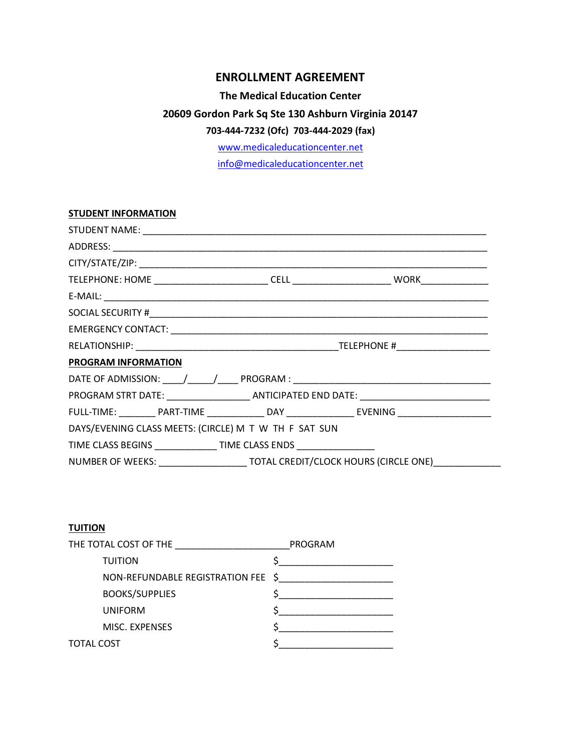# **ENROLLMENT AGREEMENT**

#### **The Medical Education Center**

# **20609 Gordon Park Sq Ste 130 Ashburn Virginia 20147**

# **703-444-7232 (Ofc) 703-444-2029 (fax)**

www.medicaleducationcenter.net

info@medicaleducationcenter.net

| <b>STUDENT INFORMATION</b>                                          |  |                                                                                                               |  |
|---------------------------------------------------------------------|--|---------------------------------------------------------------------------------------------------------------|--|
|                                                                     |  |                                                                                                               |  |
|                                                                     |  |                                                                                                               |  |
|                                                                     |  |                                                                                                               |  |
|                                                                     |  |                                                                                                               |  |
|                                                                     |  |                                                                                                               |  |
|                                                                     |  |                                                                                                               |  |
|                                                                     |  |                                                                                                               |  |
|                                                                     |  |                                                                                                               |  |
| PROGRAM INFORMATION                                                 |  |                                                                                                               |  |
|                                                                     |  |                                                                                                               |  |
|                                                                     |  | PROGRAM STRT DATE: ___________________________________ANTICIPATED END DATE: _________________________________ |  |
|                                                                     |  | FULL-TIME: _________ PART-TIME ______________ DAY _________________ EVENING _______________________           |  |
| DAYS/EVENING CLASS MEETS: (CIRCLE) M T W TH F SAT SUN               |  |                                                                                                               |  |
| TIME CLASS BEGINS _______________ TIME CLASS ENDS _________________ |  |                                                                                                               |  |
|                                                                     |  | NUMBER OF WEEKS: ________________________TOTAL CREDIT/CLOCK HOURS (CIRCLE ONE)_____________________           |  |

### **TUITION**

| THE TOTAL COST OF THE              | PROGRAM |
|------------------------------------|---------|
| <b>TUITION</b>                     |         |
| NON-REFUNDABLE REGISTRATION FEE \$ |         |
| <b>BOOKS/SUPPLIES</b>              |         |
| <b>UNIFORM</b>                     |         |
| MISC. EXPENSES                     |         |
| TOTAL COST                         |         |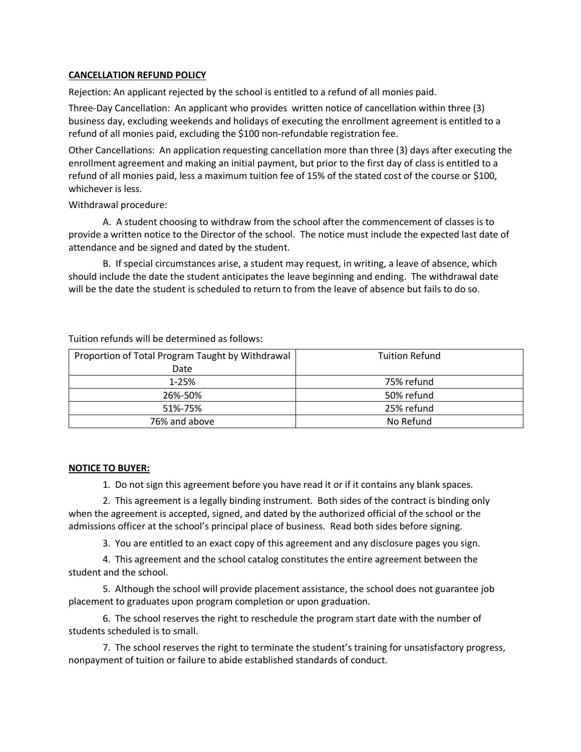#### **CANCELLATION REFUND POLICY**

Rejection: An applicant rejected by the school is entitled to a refund of all monies paid.

Three-Day Cancellation: An applicant who provides written notice of cancellation within three (3) business day, excluding weekends and holidays of executing the enrollment agreement is entitled to a refund of all monies paid, excluding the \$100 non-refundable registration fee.

Other Cancellations: An application requesting cancellation more than three (3) days after executing the enrollment agreement and making an initial payment, but prior to the first day of class is entitled to a refund of all monies paid, less a maximum tuition fee of 15% of the stated cost of the course or \$100, whichever is less.

Withdrawal procedure:

A. A student choosing to withdraw from the school after the commencement of classes is to provide a written notice to the Director of the school. The notice must include the expected last date of attendance and be signed and dated by the student.

B. If special circumstances arise, a student may request, in writing, a leave of absence, which should include the date the student anticipates the leave beginning and ending. The withdrawal date will be the date the student is scheduled to return to from the leave of absence but fails to do so.

Tuition refunds will be determined as follows:

| Proportion of Total Program Taught by Withdrawal | <b>Tuition Refund</b> |
|--------------------------------------------------|-----------------------|
| Date                                             |                       |
| $1 - 25%$                                        | 75% refund            |
| 26%-50%                                          | 50% refund            |
| 51%-75%                                          | 25% refund            |
| 76% and above                                    | No Refund             |

#### **NOTICE TO BUYER:**

1. Do not sign this agreement before you have read it or if it contains any blank spaces.

2. This agreement is a legally binding instrument. Both sides of the contract is binding only when the agreement is accepted, signed, and dated by the authorized official of the school or the admissions officer at the school's principal place of business. Read both sides before signing.

3. You are entitled to an exact copy of this agreement and any disclosure pages you sign.

4. This agreement and the school catalog constitutes the entire agreement between the student and the school.

5. Although the school will provide placement assistance, the school does not guarantee job placement to graduates upon program completion or upon graduation.

6. The school reserves the right to reschedule the program start date with the number of students scheduled is to small.

7. The school reserves the right to terminate the student's training for unsatisfactory progress, nonpayment of tuition or failure to abide established standards of conduct.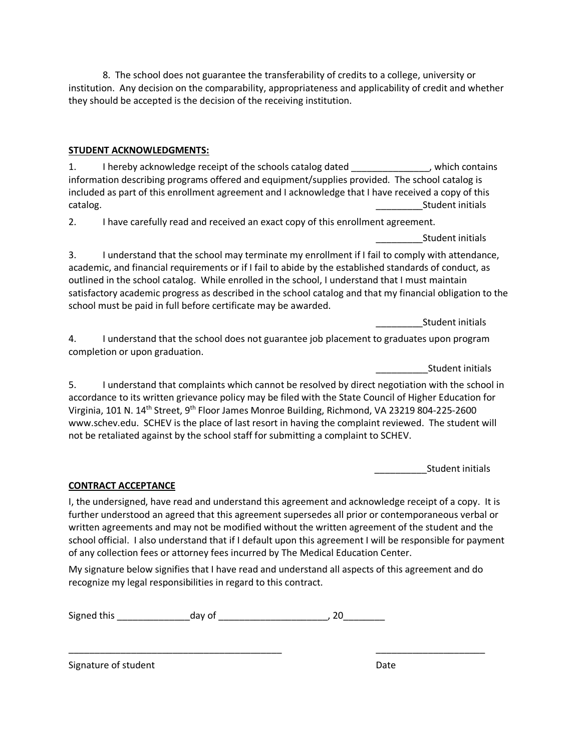8. The school does not guarantee the transferability of credits to a college, university or institution. Any decision on the comparability, appropriateness and applicability of credit and whether they should be accepted is the decision of the receiving institution.

# **STUDENT ACKNOWLEDGMENTS:**

1. I hereby acknowledge receipt of the schools catalog dated \_\_\_\_\_\_\_\_\_\_\_\_\_\_, which contains information describing programs offered and equipment/supplies provided. The school catalog is included as part of this enrollment agreement and I acknowledge that I have received a copy of this catalog. **Example 20** Student initials and the catalog.

2. I have carefully read and received an exact copy of this enrollment agreement.

\_\_\_\_\_\_\_\_\_Student initials

3. I understand that the school may terminate my enrollment if I fail to comply with attendance, academic, and financial requirements or if I fail to abide by the established standards of conduct, as outlined in the school catalog. While enrolled in the school, I understand that I must maintain satisfactory academic progress as described in the school catalog and that my financial obligation to the school must be paid in full before certificate may be awarded.

\_\_\_\_\_\_\_\_\_Student initials

4. I understand that the school does not guarantee job placement to graduates upon program completion or upon graduation.

\_\_\_\_\_\_\_\_\_\_Student initials

5. I understand that complaints which cannot be resolved by direct negotiation with the school in accordance to its written grievance policy may be filed with the State Council of Higher Education for Virginia, 101 N. 14th Street, 9th Floor James Monroe Building, Richmond, VA 23219 804-225-2600 www.schev.edu. SCHEV is the place of last resort in having the complaint reviewed. The student will not be retaliated against by the school staff for submitting a complaint to SCHEV.

\_\_\_\_\_\_\_\_\_\_Student initials

# **CONTRACT ACCEPTANCE**

I, the undersigned, have read and understand this agreement and acknowledge receipt of a copy. It is further understood an agreed that this agreement supersedes all prior or contemporaneous verbal or written agreements and may not be modified without the written agreement of the student and the school official. I also understand that if I default upon this agreement I will be responsible for payment of any collection fees or attorney fees incurred by The Medical Education Center.

My signature below signifies that I have read and understand all aspects of this agreement and do recognize my legal responsibilities in regard to this contract.

\_\_\_\_\_\_\_\_\_\_\_\_\_\_\_\_\_\_\_\_\_\_\_\_\_\_\_\_\_\_\_\_\_\_\_\_\_\_\_\_\_ \_\_\_\_\_\_\_\_\_\_\_\_\_\_\_\_\_\_\_\_\_

Signed this \_\_\_\_\_\_\_\_\_\_\_\_\_\_day of \_\_\_\_\_\_\_\_\_\_\_\_\_\_\_\_\_\_\_\_\_, 20\_\_\_\_\_\_\_\_

Signature of student Date Date Date Date Date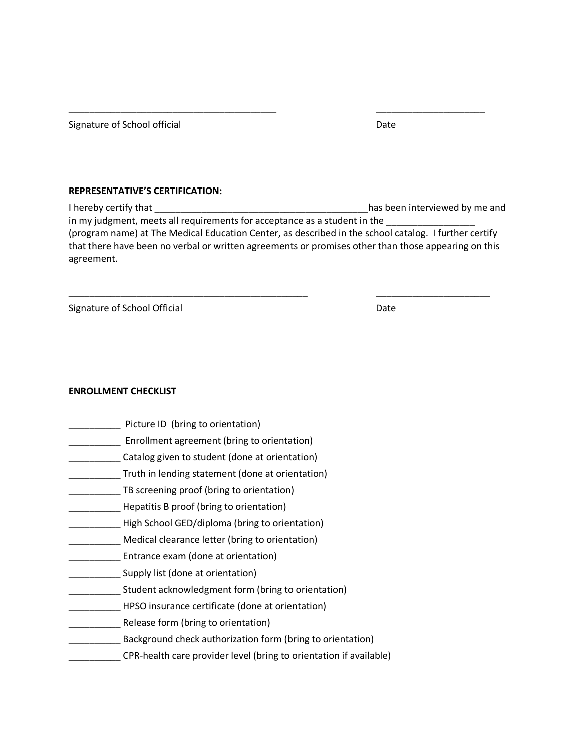Signature of School official Date Date Date

#### **REPRESENTATIVE'S CERTIFICATION:**

I hereby certify that \_\_\_\_\_\_\_\_\_\_\_\_\_\_\_\_\_\_\_\_\_\_\_\_\_\_\_\_\_\_\_\_\_\_\_\_\_\_\_\_\_has been interviewed by me and in my judgment, meets all requirements for acceptance as a student in the (program name) at The Medical Education Center, as described in the school catalog. I further certify that there have been no verbal or written agreements or promises other than those appearing on this agreement.

\_\_\_\_\_\_\_\_\_\_\_\_\_\_\_\_\_\_\_\_\_\_\_\_\_\_\_\_\_\_\_\_\_\_\_\_\_\_\_\_\_\_\_\_\_\_ \_\_\_\_\_\_\_\_\_\_\_\_\_\_\_\_\_\_\_\_\_\_

\_\_\_\_\_\_\_\_\_\_\_\_\_\_\_\_\_\_\_\_\_\_\_\_\_\_\_\_\_\_\_\_\_\_\_\_\_\_\_\_ \_\_\_\_\_\_\_\_\_\_\_\_\_\_\_\_\_\_\_\_\_

Signature of School Official Date Date Date

#### **ENROLLMENT CHECKLIST**

- Picture ID (bring to orientation)
- Enrollment agreement (bring to orientation)
- \_\_\_\_\_\_\_\_\_\_ Catalog given to student (done at orientation)
- \_\_\_\_\_\_\_\_\_\_ Truth in lending statement (done at orientation)
- \_\_\_\_\_\_\_\_\_\_ TB screening proof (bring to orientation)
- Hepatitis B proof (bring to orientation)
- \_\_\_\_\_\_\_\_\_\_ High School GED/diploma (bring to orientation)
- \_\_\_\_\_\_\_\_\_\_ Medical clearance letter (bring to orientation)
- \_\_\_\_\_\_\_\_\_\_ Entrance exam (done at orientation)
- \_\_\_\_\_\_\_ Supply list (done at orientation)
- \_\_\_\_\_\_\_\_\_\_ Student acknowledgment form (bring to orientation)
- \_\_\_\_\_\_\_\_\_\_ HPSO insurance certificate (done at orientation)
- \_\_\_\_\_\_\_\_\_\_ Release form (bring to orientation)
- Background check authorization form (bring to orientation)
- \_\_\_\_\_\_\_\_\_\_ CPR-health care provider level (bring to orientation if available)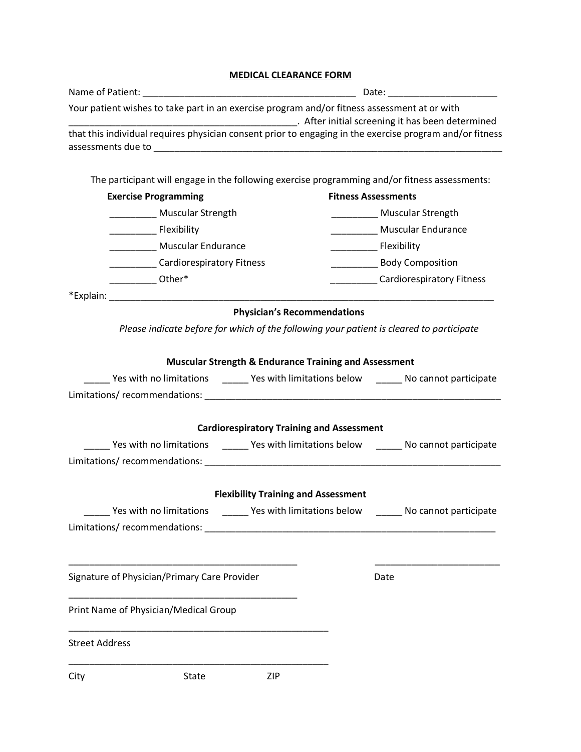# **MEDICAL CLEARANCE FORM**

|                       |                                              |                                                                  | Your patient wishes to take part in an exercise program and/or fitness assessment at or with<br>Latter initial screening it has been determined |
|-----------------------|----------------------------------------------|------------------------------------------------------------------|-------------------------------------------------------------------------------------------------------------------------------------------------|
|                       |                                              |                                                                  | that this individual requires physician consent prior to engaging in the exercise program and/or fitness                                        |
|                       |                                              |                                                                  | The participant will engage in the following exercise programming and/or fitness assessments:                                                   |
|                       | <b>Exercise Programming</b>                  |                                                                  | <b>Fitness Assessments</b>                                                                                                                      |
|                       | Muscular Strength                            |                                                                  | ____________ Muscular Strength                                                                                                                  |
|                       |                                              |                                                                  | Muscular Endurance                                                                                                                              |
|                       | <b>Muscular Endurance</b>                    |                                                                  | <b>Exibility</b>                                                                                                                                |
|                       | ____________Cardiorespiratory Fitness        |                                                                  | ____________________ Body Composition                                                                                                           |
|                       | Other*                                       |                                                                  | Cardiorespiratory Fitness                                                                                                                       |
|                       |                                              |                                                                  |                                                                                                                                                 |
|                       |                                              | <b>Physician's Recommendations</b>                               |                                                                                                                                                 |
|                       |                                              |                                                                  | Please indicate before for which of the following your patient is cleared to participate                                                        |
|                       |                                              | <b>Muscular Strength &amp; Endurance Training and Assessment</b> |                                                                                                                                                 |
|                       |                                              |                                                                  | ______ Yes with no limitations _______ Yes with limitations below _______ No cannot participate                                                 |
|                       |                                              |                                                                  |                                                                                                                                                 |
|                       |                                              | <b>Cardiorespiratory Training and Assessment</b>                 |                                                                                                                                                 |
|                       |                                              |                                                                  | _______ Yes with no limitations _________ Yes with limitations below ________ No cannot participate                                             |
|                       |                                              |                                                                  |                                                                                                                                                 |
|                       |                                              | <b>Flexibility Training and Assessment</b>                       |                                                                                                                                                 |
|                       |                                              |                                                                  | Yes with no limitations ________ Yes with limitations below ________ No cannot participate                                                      |
|                       |                                              |                                                                  |                                                                                                                                                 |
|                       | Signature of Physician/Primary Care Provider |                                                                  | Date                                                                                                                                            |
|                       |                                              |                                                                  |                                                                                                                                                 |
|                       | Print Name of Physician/Medical Group        |                                                                  |                                                                                                                                                 |
| <b>Street Address</b> |                                              |                                                                  |                                                                                                                                                 |
| City                  | State                                        | ZIP                                                              |                                                                                                                                                 |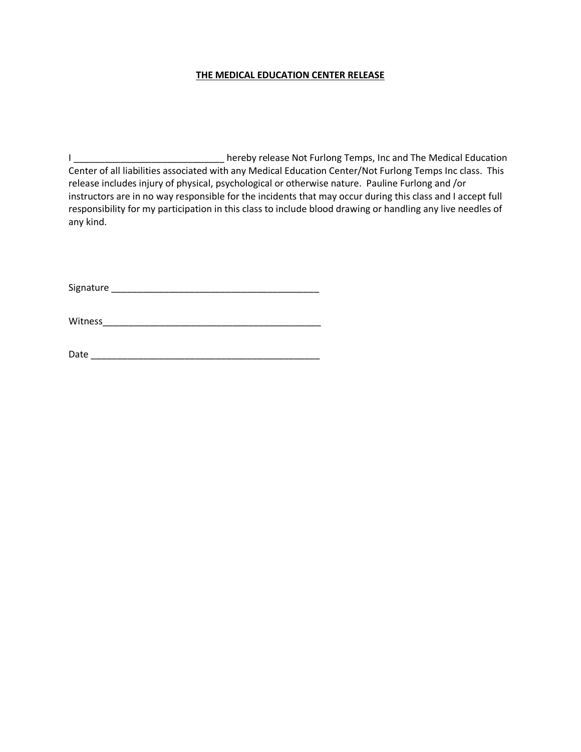#### **THE MEDICAL EDUCATION CENTER RELEASE**

I \_\_\_\_\_\_\_\_\_\_\_\_\_\_\_\_\_\_\_\_\_\_\_\_\_\_\_\_\_\_\_\_hereby release Not Furlong Temps, Inc and The Medical Education Center of all liabilities associated with any Medical Education Center/Not Furlong Temps Inc class. This release includes injury of physical, psychological or otherwise nature. Pauline Furlong and /or instructors are in no way responsible for the incidents that may occur during this class and I accept full responsibility for my participation in this class to include blood drawing or handling any live needles of any kind.

Signature \_\_\_\_\_\_\_\_\_\_\_\_\_\_\_\_\_\_\_\_\_\_\_\_\_\_\_\_\_\_\_\_\_\_\_\_\_\_\_\_

Witness\_\_\_\_\_\_\_\_\_\_\_\_\_\_\_\_\_\_\_\_\_\_\_\_\_\_\_\_\_\_\_\_\_\_\_\_\_\_\_\_\_\_

Date \_\_\_\_\_\_\_\_\_\_\_\_\_\_\_\_\_\_\_\_\_\_\_\_\_\_\_\_\_\_\_\_\_\_\_\_\_\_\_\_\_\_\_\_